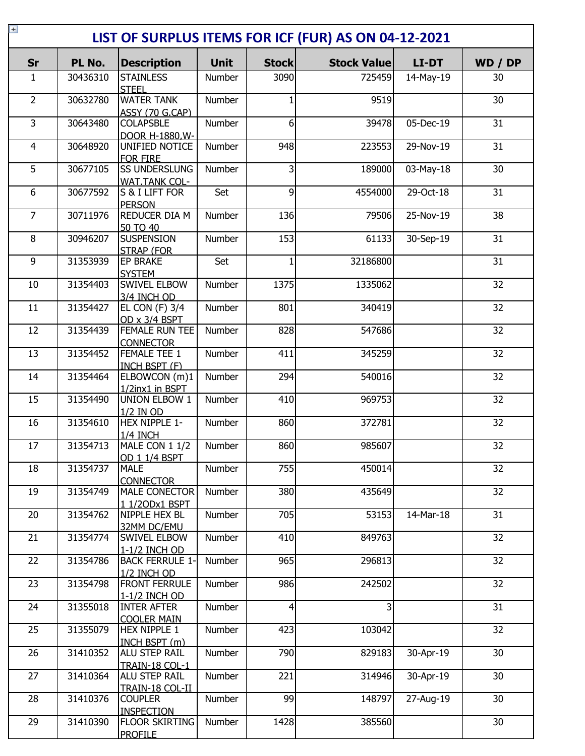| $+$<br>LIST OF SURPLUS ITEMS FOR ICF (FUR) AS ON 04-12-2021 |          |                                              |             |                |                    |              |                 |
|-------------------------------------------------------------|----------|----------------------------------------------|-------------|----------------|--------------------|--------------|-----------------|
| Sr                                                          | PL No.   | <b>Description</b>                           | <b>Unit</b> | <b>Stock</b>   | <b>Stock Value</b> | <b>LI-DT</b> | WD / DP         |
| 1                                                           | 30436310 | <b>STAINLESS</b><br><b>STEEL</b>             | Number      | 3090           | 725459             | 14-May-19    | 30              |
| $\overline{2}$                                              | 30632780 | <b>WATER TANK</b><br>ASSY (70 G.CAP)         | Number      | 1              | 9519               |              | 30              |
| $\overline{3}$                                              | 30643480 | <b>COLAPSBLE</b><br>DOOR H-1880.W-           | Number      | $6 \mid$       | 39478              | 05-Dec-19    | 31              |
| $\overline{4}$                                              | 30648920 | UNIFIED NOTICE<br><b>FOR FIRE</b>            | Number      | 948            | 223553             | 29-Nov-19    | 31              |
| $\overline{5}$                                              | 30677105 | <b>SS UNDERSLUNG</b><br><b>WAT.TANK COL-</b> | Number      | $\overline{3}$ | 189000             | 03-May-18    | $\overline{30}$ |
| 6                                                           | 30677592 | S & I LIFT FOR<br><b>PERSON</b>              | Set         | 9              | 4554000            | 29-Oct-18    | $\overline{31}$ |
| $\overline{7}$                                              | 30711976 | <b>REDUCER DIA M</b><br>50 TO 40             | Number      | 136            | 79506              | 25-Nov-19    | 38              |
| 8                                                           | 30946207 | <b>SUSPENSION</b><br><b>STRAP (FOR</b>       | Number      | 153            | 61133              | 30-Sep-19    | 31              |
| 9                                                           | 31353939 | EP BRAKE<br><b>SYSTEM</b>                    | Set         | $\mathbf{1}$   | 32186800           |              | 31              |
| 10                                                          | 31354403 | <b>SWIVEL ELBOW</b><br>3/4 INCH OD           | Number      | 1375           | 1335062            |              | 32              |
| 11                                                          | 31354427 | <b>EL CON (F) 3/4</b><br>OD x 3/4 BSPT       | Number      | 801            | 340419             |              | 32              |
| 12                                                          | 31354439 | FEMALE RUN TEE<br><b>CONNECTOR</b>           | Number      | 828            | 547686             |              | 32              |
| 13                                                          | 31354452 | FEMALE TEE 1<br>INCH BSPT (F)                | Number      | 411            | 345259             |              | 32              |
| 14                                                          | 31354464 | ELBOWCON (m)1<br>1/2inx1 in BSPT             | Number      | 294            | 540016             |              | 32              |
| 15                                                          | 31354490 | <b>UNION ELBOW 1</b><br>1/2 IN OD            | Number      | 410            | 969753             |              | 32              |
| 16                                                          | 31354610 | HEX NIPPLE 1-<br><b>1/4 INCH</b>             | Number      | 860            | 372781             |              | 32              |
| 17                                                          | 31354713 | MALE CON 1 1/2<br>OD 1 1/4 BSPT              | Number      | 860            | 985607             |              | 32              |
| 18                                                          | 31354737 | <b>MALE</b><br><b>CONNECTOR</b>              | Number      | 755            | 450014             |              | 32              |
| 19                                                          | 31354749 | MALE CONECTOR<br>1 1/20Dx1 BSPT              | Number      | 380            | 435649             |              | 32              |
| 20                                                          | 31354762 | NIPPLE HEX BL<br>32MM DC/EMU                 | Number      | 705            | 53153              | 14-Mar-18    | 31              |
| 21                                                          | 31354774 | <b>SWIVEL ELBOW</b><br>1-1/2 INCH OD         | Number      | 410            | 849763             |              | 32              |
| 22                                                          | 31354786 | <b>BACK FERRULE 1-</b><br>1/2 INCH OD        | Number      | 965            | 296813             |              | 32              |
| 23                                                          | 31354798 | <b>FRONT FERRULE</b><br>1-1/2 INCH OD        | Number      | 986            | 242502             |              | 32              |
| 24                                                          | 31355018 | <b>INTER AFTER</b><br><b>COOLER MAIN</b>     | Number      | $\overline{4}$ | 3                  |              | 31              |
| 25                                                          | 31355079 | <b>HEX NIPPLE 1</b><br>INCH BSPT (m)         | Number      | 423            | 103042             |              | 32              |
| 26                                                          | 31410352 | <b>ALU STEP RAIL</b><br>TRAIN-18 COL-1       | Number      | 790            | 829183             | 30-Apr-19    | 30              |
| 27                                                          | 31410364 | <b>ALU STEP RAIL</b><br>TRAIN-18 COL-II      | Number      | 221            | 314946             | 30-Apr-19    | 30              |
| 28                                                          | 31410376 | <b>COUPLER</b><br><b>INSPECTION</b>          | Number      | 99             | 148797             | 27-Aug-19    | 30              |
| 29                                                          | 31410390 | <b>FLOOR SKIRTING</b><br><b>PROFILE</b>      | Number      | 1428           | 385560             |              | 30              |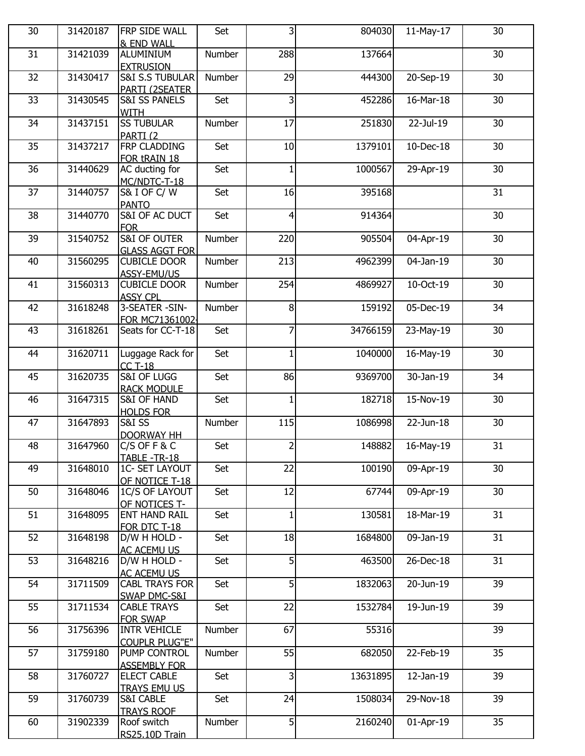| 30 | 31420187 | FRP SIDE WALL                                  | Set    | س              | 804030   | 11-May-17    | 30 |
|----|----------|------------------------------------------------|--------|----------------|----------|--------------|----|
|    |          | & END WALL                                     |        |                |          |              |    |
| 31 | 31421039 | ALUMINIUM                                      | Number | 288            | 137664   |              | 30 |
| 32 | 31430417 | <b>EXTRUSION</b><br><b>S&amp;I S.S TUBULAR</b> | Number | 29             | 444300   | 20-Sep-19    | 30 |
|    |          | PARTI (2SEATER                                 |        |                |          |              |    |
| 33 | 31430545 | <b>S&amp;I SS PANELS</b>                       | Set    | $\overline{3}$ | 452286   | 16-Mar-18    | 30 |
|    |          | <b>WITH</b>                                    |        |                |          |              |    |
| 34 | 31437151 | <b>SS TUBULAR</b>                              | Number | 17             | 251830   | 22-Jul-19    | 30 |
|    |          | PARTI <sub>(2</sub>                            |        |                |          |              |    |
| 35 | 31437217 | FRP CLADDING<br>FOR tRAIN 18                   | Set    | 10             | 1379101  | 10-Dec-18    | 30 |
| 36 | 31440629 | AC ducting for                                 | Set    | $\mathbf{1}$   | 1000567  | 29-Apr-19    | 30 |
|    |          | MC/NDTC-T-18                                   |        |                |          |              |    |
| 37 | 31440757 | S& I OF C/W                                    | Set    | 16             | 395168   |              | 31 |
|    |          | <b>PANTO</b>                                   |        |                |          |              |    |
| 38 | 31440770 | S&I OF AC DUCT                                 | Set    | $\overline{4}$ | 914364   |              | 30 |
| 39 | 31540752 | <b>FOR</b><br><b>S&amp;I OF OUTER</b>          | Number | 220            | 905504   | 04-Apr-19    | 30 |
|    |          | <b>GLASS AGGT FOR</b>                          |        |                |          |              |    |
| 40 | 31560295 | <b>CUBICLE DOOR</b>                            | Number | 213            | 4962399  | 04-Jan-19    | 30 |
|    |          | ASSY-EMU/US                                    |        |                |          |              |    |
| 41 | 31560313 | <b>CUBICLE DOOR</b>                            | Number | 254            | 4869927  | 10-Oct-19    | 30 |
|    |          | <b>ASSY CPL</b>                                |        |                |          |              |    |
| 42 | 31618248 | 3-SEATER -SIN-                                 | Number | 8 <sup>1</sup> | 159192   | 05-Dec-19    | 34 |
|    |          | FOR MC71361002                                 |        | $\overline{7}$ |          |              |    |
| 43 | 31618261 | Seats for CC-T-18                              | Set    |                | 34766159 | $23$ -May-19 | 30 |
| 44 | 31620711 | Luggage Rack for                               | Set    | $\mathbf{1}$   | 1040000  | 16-May-19    | 30 |
|    |          | <b>CC T-18</b>                                 |        |                |          |              |    |
| 45 | 31620735 | S&I OF LUGG                                    | Set    | 86             | 9369700  | 30-Jan-19    | 34 |
|    |          | <b>RACK MODULE</b>                             |        |                |          |              |    |
| 46 | 31647315 | <b>S&amp;I OF HAND</b>                         | Set    | $\mathbf{1}$   | 182718   | 15-Nov-19    | 30 |
| 47 | 31647893 | <b>HOLDS FOR</b><br><b>S&amp;I SS</b>          | Number | 115            | 1086998  | 22-Jun-18    | 30 |
|    |          | <b>DOORWAY HH</b>                              |        |                |          |              |    |
| 48 | 31647960 | $C/S$ OF F & C                                 | Set    | $\overline{2}$ | 148882   | 16-May-19    | 31 |
|    |          | TABLE-TR-18                                    |        |                |          |              |    |
| 49 | 31648010 | 1C- SET LAYOUT                                 | Set    | 22             | 100190   | 09-Apr-19    | 30 |
|    |          | OF NOTICE T-18                                 |        |                |          |              |    |
| 50 | 31648046 | 1C/S OF LAYOUT                                 | Set    | 12             | 67744    | 09-Apr-19    | 30 |
| 51 | 31648095 | OF NOTICES T-<br><b>ENT HAND RAIL</b>          | Set    | $\mathbf{1}$   | 130581   | 18-Mar-19    | 31 |
|    |          | FOR DTC T-18                                   |        |                |          |              |    |
| 52 | 31648198 | D/W H HOLD -                                   | Set    | 18             | 1684800  | 09-Jan-19    | 31 |
|    |          | AC ACEMU US                                    |        |                |          |              |    |
| 53 | 31648216 | D/W H HOLD -                                   | Set    | 5 <sup>1</sup> | 463500   | 26-Dec-18    | 31 |
|    |          | <b>AC ACEMU US</b>                             |        |                |          |              |    |
| 54 | 31711509 | <b>CABL TRAYS FOR</b>                          | Set    | $\overline{5}$ | 1832063  | 20-Jun-19    | 39 |
| 55 | 31711534 | SWAP DMC-S&I                                   | Set    | 22             | 1532784  | 19-Jun-19    | 39 |
|    |          | <b>CABLE TRAYS</b><br><b>FOR SWAP</b>          |        |                |          |              |    |
| 56 | 31756396 | <b>INTR VEHICLE</b>                            | Number | 67             | 55316    |              | 39 |
|    |          | <b>COUPLR PLUG"E"</b>                          |        |                |          |              |    |
| 57 | 31759180 | PUMP CONTROL                                   | Number | 55             | 682050   | 22-Feb-19    | 35 |
|    |          | <b>ASSEMBLY FOR</b>                            |        |                |          |              |    |
| 58 | 31760727 | <b>ELECT CABLE</b>                             | Set    | $\overline{3}$ | 13631895 | 12-Jan-19    | 39 |
| 59 | 31760739 | <b>TRAYS EMU US</b>                            |        | 24             |          |              | 39 |
|    |          | <b>S&amp;I CABLE</b><br><b>TRAYS ROOF</b>      | Set    |                | 1508034  | 29-Nov-18    |    |
| 60 | 31902339 | Roof switch                                    | Number | 5 <sup>1</sup> | 2160240  | 01-Apr-19    | 35 |
|    |          | RS25.10D Train                                 |        |                |          |              |    |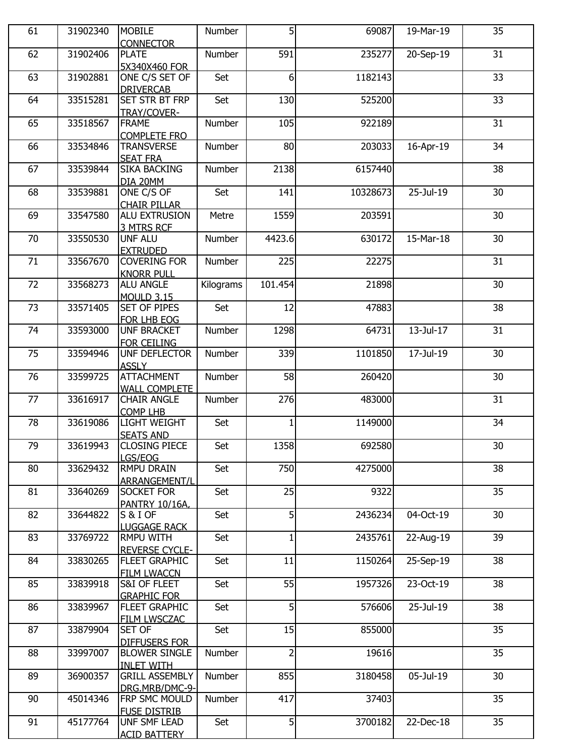| 61 | 31902340 | <b>MOBILE</b><br><b>CONNECTOR</b>                  | Number    | 5                | 69087    | 19-Mar-19 | 35              |
|----|----------|----------------------------------------------------|-----------|------------------|----------|-----------|-----------------|
| 62 | 31902406 | <b>PLATE</b>                                       | Number    | 591              | 235277   | 20-Sep-19 | 31              |
| 63 | 31902881 | 5X340X460 FOR<br>ONE C/S SET OF                    | Set       | $6 \overline{6}$ | 1182143  |           | 33              |
| 64 | 33515281 | <b>DRIVERCAB</b><br><b>SET STR BT FRP</b>          | Set       | 130              | 525200   |           | 33              |
| 65 | 33518567 | TRAY/COVER-<br><b>FRAME</b>                        | Number    | 105              | 922189   |           | 31              |
| 66 | 33534846 | <b>COMPLETE FRO</b><br><b>TRANSVERSE</b>           | Number    | 80               | 203033   | 16-Apr-19 | 34              |
| 67 | 33539844 | <b>SEAT FRA</b><br><b>SIKA BACKING</b><br>DIA 20MM | Number    | 2138             | 6157440  |           | 38              |
| 68 | 33539881 | ONE C/S OF<br><b>CHAIR PILLAR</b>                  | Set       | 141              | 10328673 | 25-Jul-19 | 30              |
| 69 | 33547580 | ALU EXTRUSION<br>3 MTRS RCF                        | Metre     | 1559             | 203591   |           | 30              |
| 70 | 33550530 | <b>UNF ALU</b><br><b>EXTRUDED</b>                  | Number    | 4423.6           | 630172   | 15-Mar-18 | 30              |
| 71 | 33567670 | <b>COVERING FOR</b><br><b>KNORR PULL</b>           | Number    | 225              | 22275    |           | $\overline{31}$ |
| 72 | 33568273 | <b>ALU ANGLE</b><br><b>MOULD 3.15</b>              | Kilograms | 101.454          | 21898    |           | 30              |
| 73 | 33571405 | <b>SET OF PIPES</b><br>FOR LHB EOG                 | Set       | 12               | 47883    |           | 38              |
| 74 | 33593000 | <b>UNF BRACKET</b><br><b>FOR CEILING</b>           | Number    | 1298             | 64731    | 13-Jul-17 | 31              |
| 75 | 33594946 | UNF DEFLECTOR<br><b>ASSLY</b>                      | Number    | 339              | 1101850  | 17-Jul-19 | 30              |
| 76 | 33599725 | <b>ATTACHMENT</b><br><b>WALL COMPLETE</b>          | Number    | 58               | 260420   |           | 30              |
| 77 | 33616917 | <b>CHAIR ANGLE</b><br><b>COMP LHB</b>              | Number    | 276              | 483000   |           | 31              |
| 78 | 33619086 | <b>LIGHT WEIGHT</b><br><b>SEATS AND</b>            | Set       | 1                | 1149000  |           | 34              |
| 79 | 33619943 | <b>CLOSING PIECE</b><br>LGS/EOG                    | Set       | 1358             | 692580   |           | 30              |
| 80 | 33629432 | <b>RMPU DRAIN</b><br>ARRANGEMENT/L                 | Set       | 750              | 4275000  |           | 38              |
| 81 | 33640269 | <b>SOCKET FOR</b><br>PANTRY 10/16A,                | Set       | 25               | 9322     |           | 35              |
| 82 | 33644822 | S&I OF<br><b>LUGGAGE RACK</b>                      | Set       | 5                | 2436234  | 04-Oct-19 | 30              |
| 83 | 33769722 | <b>RMPU WITH</b><br><b>REVERSE CYCLE-</b>          | Set       | $\mathbf{1}$     | 2435761  | 22-Aug-19 | 39              |
| 84 | 33830265 | FLEET GRAPHIC<br><b>FILM LWACCN</b>                | Set       | 11               | 1150264  | 25-Sep-19 | 38              |
| 85 | 33839918 | S&I OF FLEET<br><b>GRAPHIC FOR</b>                 | Set       | 55               | 1957326  | 23-Oct-19 | 38              |
| 86 | 33839967 | FLEET GRAPHIC<br>FILM LWSCZAC                      | Set       | 5                | 576606   | 25-Jul-19 | 38              |
| 87 | 33879904 | SET OF<br><b>DIFFUSERS FOR</b>                     | Set       | 15               | 855000   |           | 35              |
| 88 | 33997007 | <b>BLOWER SINGLE</b><br><b>INLET WITH</b>          | Number    | $\overline{2}$   | 19616    |           | 35              |
| 89 | 36900357 | <b>GRILL ASSEMBLY</b><br>DRG.MRB/DMC-9-            | Number    | 855              | 3180458  | 05-Jul-19 | 30              |
| 90 | 45014346 | FRP SMC MOULD<br><b>FUSE DISTRIB</b>               | Number    | 417              | 37403    |           | 35              |
| 91 | 45177764 | UNF SMF LEAD<br><b>ACID BATTERY</b>                | Set       | 5 <sup>1</sup>   | 3700182  | 22-Dec-18 | 35              |